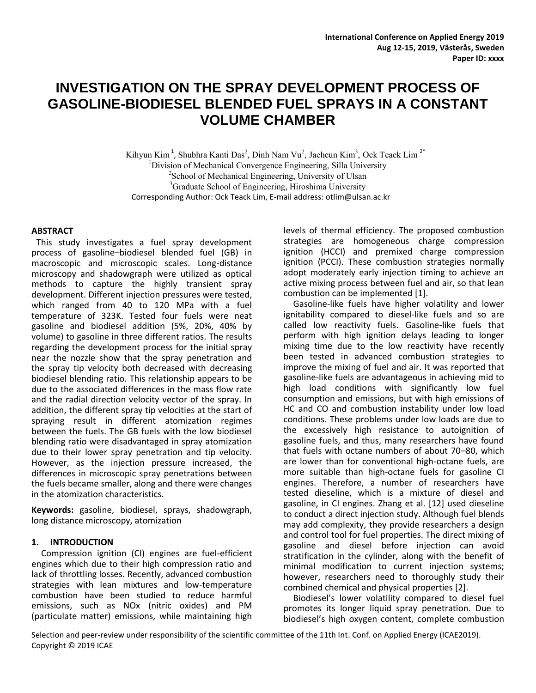# **INVESTIGATION ON THE SPRAY DEVELOPMENT PROCESS OF GASOLINE-BIODIESEL BLENDED FUEL SPRAYS IN A CONSTANT VOLUME CHAMBER**

Kihyun Kim<sup>1</sup>, Shubhra Kanti Das<sup>2</sup>, Dinh Nam Vu<sup>2</sup>, Jaeheun Kim<sup>3</sup>, Ock Teack Lim<sup>2\*</sup> <sup>1</sup>Division of Mechanical Convergence Engineering, Silla University <sup>2</sup>School of Mechanical Engineering, University of Ulsan <sup>3</sup>Graduate School of Engineering, Hiroshima University Corresponding Author: Ock Teack Lim, E-mail address: [otlim@ulsan.ac.kr](mailto:otlim@ulsan.ac.kr)

## **ABSTRACT**

This study investigates a fuel spray development process of gasoline–biodiesel blended fuel (GB) in macroscopic and microscopic scales. Long-distance microscopy and shadowgraph were utilized as optical methods to capture the highly transient spray development. Different injection pressures were tested, which ranged from 40 to 120 MPa with a fuel temperature of 323K. Tested four fuels were neat gasoline and biodiesel addition (5%, 20%, 40% by volume) to gasoline in three different ratios. The results regarding the development process for the initial spray near the nozzle show that the spray penetration and the spray tip velocity both decreased with decreasing biodiesel blending ratio. This relationship appears to be due to the associated differences in the mass flow rate and the radial direction velocity vector of the spray. In addition, the different spray tip velocities at the start of spraying result in different atomization regimes between the fuels. The GB fuels with the low biodiesel blending ratio were disadvantaged in spray atomization due to their lower spray penetration and tip velocity. However, as the injection pressure increased, the differences in microscopic spray penetrations between the fuels became smaller, along and there were changes in the atomization characteristics.

**Keywords:** gasoline, biodiesel, sprays, shadowgraph, long distance microscopy, atomization

#### **1. INTRODUCTION**

Compression ignition (CI) engines are fuel-efficient engines which due to their high compression ratio and lack of throttling losses. Recently, advanced combustion strategies with lean mixtures and low-temperature combustion have been studied to reduce harmful emissions, such as NOx (nitric oxides) and PM (particulate matter) emissions, while maintaining high levels of thermal efficiency. The proposed combustion strategies are homogeneous charge compression ignition (HCCI) and premixed charge compression ignition (PCCI). These combustion strategies normally adopt moderately early injection timing to achieve an active mixing process between fuel and air, so that lean combustion can be implemented [1].

Gasoline-like fuels have higher volatility and lower ignitability compared to diesel-like fuels and so are called low reactivity fuels. Gasoline-like fuels that perform with high ignition delays leading to longer mixing time due to the low reactivity have recently been tested in advanced combustion strategies to improve the mixing of fuel and air. It was reported that gasoline-like fuels are advantageous in achieving mid to high load conditions with significantly low fuel consumption and emissions, but with high emissions of HC and CO and combustion instability under low load conditions. These problems under low loads are due to the excessively high resistance to autoignition of gasoline fuels, and thus, many researchers have found that fuels with octane numbers of about 70–80, which are lower than for conventional high-octane fuels, are more suitable than high-octane fuels for gasoline CI engines. Therefore, a number of researchers have tested dieseline, which is a mixture of diesel and gasoline, in CI engines. Zhang et al. [12] used dieseline to conduct a direct injection study. Although fuel blends may add complexity, they provide researchers a design and control tool for fuel properties. The direct mixing of gasoline and diesel before injection can avoid stratification in the cylinder, along with the benefit of minimal modification to current injection systems; however, researchers need to thoroughly study their combined chemical and physical properties [2].

Biodiesel's lower volatility compared to diesel fuel promotes its longer liquid spray penetration. Due to biodiesel's high oxygen content, complete combustion

Selection and peer-review under responsibility of the scientific committee of the 11th Int. Conf. on Applied Energy (ICAE2019). Copyright © 2019 ICAE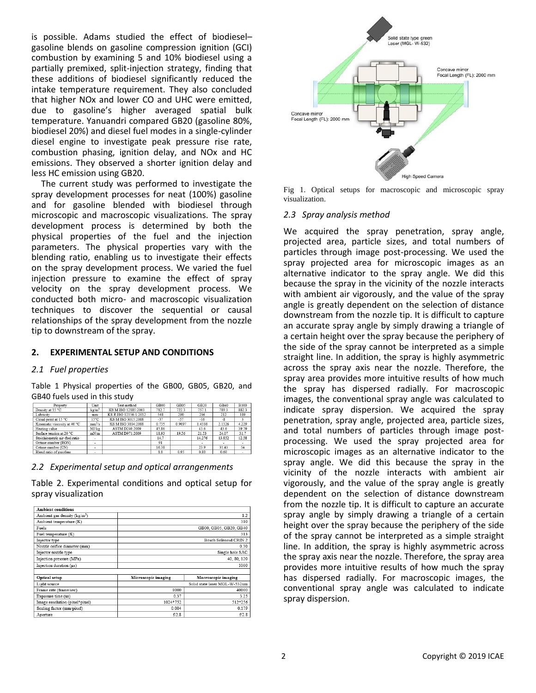is possible. Adams studied the effect of biodiesel– gasoline blends on gasoline compression ignition (GCI) combustion by examining 5 and 10% biodiesel using a partially premixed, split-injection strategy, finding that these additions of biodiesel significantly reduced the intake temperature requirement. They also concluded that higher NOx and lower CO and UHC were emitted, due to gasoline's higher averaged spatial bulk temperature. Yanuandri compared GB20 (gasoline 80%, biodiesel 20%) and diesel fuel modes in a single-cylinder diesel engine to investigate peak pressure rise rate, combustion phasing, ignition delay, and NOx and HC emissions. They observed a shorter ignition delay and less HC emission using GB20.

The current study was performed to investigate the spray development processes for neat (100%) gasoline and for gasoline blended with biodiesel through microscopic and macroscopic visualizations. The spray development process is determined by both the physical properties of the fuel and the injection parameters. The physical properties vary with the blending ratio, enabling us to investigate their effects on the spray development process. We varied the fuel injection pressure to examine the effect of spray velocity on the spray development process. We conducted both micro- and macroscopic visualization techniques to discover the sequential or causal relationships of the spray development from the nozzle tip to downstream of the spray.

#### **2. EXPERIMENTAL SETUP AND CONDITIONS**

#### *2.1 Fuel properties*

Table 1 Physical properties of the GB00, GB05, GB20, and GB40 fuels used in this study

| Property                      | Unit               | Test method           | GB00  | GB05   | GB20   | GB40   | <b>B100</b> |
|-------------------------------|--------------------|-----------------------|-------|--------|--------|--------|-------------|
| Density at 15 °C              | kg/m <sup>3</sup>  | KS M ISO 12185:2003   | 712.7 | 722.3  | 757.1  | 789.3  | 882.3       |
| Lubricity                     | mm                 | KS R ISO 12156-1:2012 | 548   | 290    | 236    | 212    | 189         |
| Cloud point at 15 °C          | $15^{\circ}$ C     | KS M ISO 3015:2008    | $-57$ | $-57$  | $-16$  | $-8$   |             |
| Kinematic viscosity at 40 °C  | mm <sup>2</sup> /s | KS M ISO 3104:2008    | 0.735 | 0.9097 | 1.4338 | 2.1326 | 4.229       |
| Heating value                 | MJ/kg              | ASTM D240:2009        | 45.86 |        | 43.6   | 43.6   | 39.79       |
| Surface tension at 20 °C      | mN/m               | ASTM D971:2009        | 18.93 | 19.56  | 21.53  | 24.07  | 31.7        |
| Stoichiometric air-fuel ratio | ٠                  |                       | 14.7  |        | 14.276 | 13.852 | 12.58       |
| Octane number (RON)           | ۰                  |                       | 91    |        |        |        |             |
| Cetane number (CN)            | ۰                  |                       | 16.38 |        | 23.9   | 31.43  | 54          |
| Blend ratio of gasoline       | -                  |                       | 1.0   | 0.95   | 0.80   | 0.60   | ٠           |

#### *2.2 Experimental setup and optical arrangenments*

Table 2. Experimental conditions and optical setup for spray visualization

| Ambient conditions                       |                       |                               |  |  |  |  |
|------------------------------------------|-----------------------|-------------------------------|--|--|--|--|
| Ambient gas density (kg/m <sup>3</sup> ) | 1.2                   |                               |  |  |  |  |
| Ambient temperature (K)                  | 310                   |                               |  |  |  |  |
| Fuels                                    |                       | GB00, GB05, GB20, GB40        |  |  |  |  |
| Fuel temperature (K)                     | 313                   |                               |  |  |  |  |
| Injector type                            | Bosch Solenoid CRIN 2 |                               |  |  |  |  |
| Nozzle orifice diameter (mm)             |                       | 0.30                          |  |  |  |  |
| Injector nozzle type                     | Single hole SAC       |                               |  |  |  |  |
| Injection pressure (MPa)                 | 40, 80, 120           |                               |  |  |  |  |
| Injection duration (us)                  | 1000                  |                               |  |  |  |  |
|                                          |                       |                               |  |  |  |  |
| Optical setup                            | Microscopic imaging   | Macroscopic imaging           |  |  |  |  |
| Light source                             |                       | Solid state laser MGL-W-532nm |  |  |  |  |
| Frame rate (frame/sec)                   | 8000                  | 40000                         |  |  |  |  |
| Exposure time (us)                       | 0.37                  | 3.25                          |  |  |  |  |
| Image resolution (pixel*pixel)           | 1024*752              | 512*256                       |  |  |  |  |
| Scaling factor (mm/pixel)                | 0.004                 | 0.179                         |  |  |  |  |
| Aperture                                 | f/2.8                 | f/2.8                         |  |  |  |  |



Fig 1. Optical setups for macroscopic and microscopic spray visualization.

#### *2.3 Spray analysis method*

We acquired the spray penetration, spray angle, projected area, particle sizes, and total numbers of particles through image post-processing. We used the spray projected area for microscopic images as an alternative indicator to the spray angle. We did this because the spray in the vicinity of the nozzle interacts with ambient air vigorously, and the value of the spray angle is greatly dependent on the selection of distance downstream from the nozzle tip. It is difficult to capture an accurate spray angle by simply drawing a triangle of a certain height over the spray because the periphery of the side of the spray cannot be interpreted as a simple straight line. In addition, the spray is highly asymmetric across the spray axis near the nozzle. Therefore, the spray area provides more intuitive results of how much the spray has dispersed radially. For macroscopic images, the conventional spray angle was calculated to indicate spray dispersion. We acquired the spray penetration, spray angle, projected area, particle sizes, and total numbers of particles through image postprocessing. We used the spray projected area for microscopic images as an alternative indicator to the spray angle. We did this because the spray in the vicinity of the nozzle interacts with ambient air vigorously, and the value of the spray angle is greatly dependent on the selection of distance downstream from the nozzle tip. It is difficult to capture an accurate spray angle by simply drawing a triangle of a certain height over the spray because the periphery of the side of the spray cannot be interpreted as a simple straight line. In addition, the spray is highly asymmetric across the spray axis near the nozzle. Therefore, the spray area provides more intuitive results of how much the spray has dispersed radially. For macroscopic images, the conventional spray angle was calculated to indicate spray dispersion.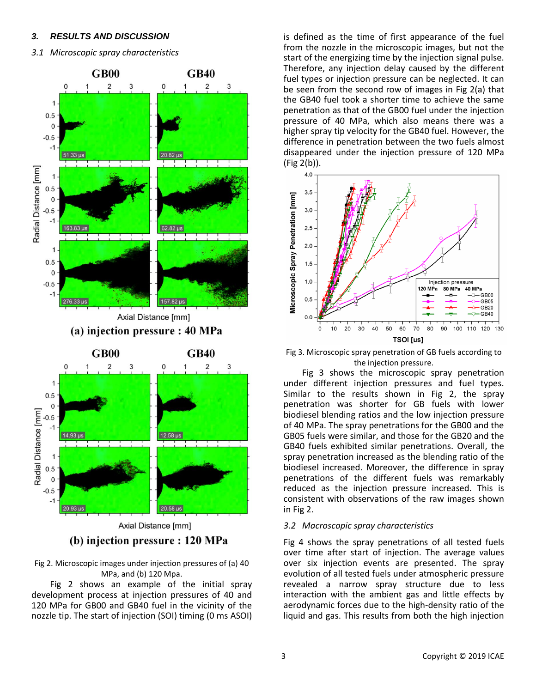## *3. RESULTS AND DISCUSSION*

# *3.1 Microscopic spray characteristics*



(b) injection pressure : 120 MPa

Fig 2. Microscopic images under injection pressures of (a) 40 MPa, and (b) 120 Mpa.

Fig 2 shows an example of the initial spray development process at injection pressures of 40 and 120 MPa for GB00 and GB40 fuel in the vicinity of the nozzle tip. The start of injection (SOI) timing (0 ms ASOI)

is defined as the time of first appearance of the fuel from the nozzle in the microscopic images, but not the start of the energizing time by the injection signal pulse. Therefore, any injection delay caused by the different fuel types or injection pressure can be neglected. It can be seen from the second row of images in Fig 2(a) that the GB40 fuel took a shorter time to achieve the same penetration as that of the GB00 fuel under the injection pressure of 40 MPa, which also means there was a higher spray tip velocity for the GB40 fuel. However, the difference in penetration between the two fuels almost disappeared under the injection pressure of 120 MPa (Fig 2(b)).



Fig 3. Microscopic spray penetration of GB fuels according to the injection pressure.

Fig 3 shows the microscopic spray penetration under different injection pressures and fuel types. Similar to the results shown in Fig 2, the spray penetration was shorter for GB fuels with lower biodiesel blending ratios and the low injection pressure of 40 MPa. The spray penetrations for the GB00 and the GB05 fuels were similar, and those for the GB20 and the GB40 fuels exhibited similar penetrations. Overall, the spray penetration increased as the blending ratio of the biodiesel increased. Moreover, the difference in spray penetrations of the different fuels was remarkably reduced as the injection pressure increased. This is consistent with observations of the raw images shown in Fig 2.

# *3.2 Macroscopic spray characteristics*

Fig 4 shows the spray penetrations of all tested fuels over time after start of injection. The average values over six injection events are presented. The spray evolution of all tested fuels under atmospheric pressure revealed a narrow spray structure due to less interaction with the ambient gas and little effects by aerodynamic forces due to the high-density ratio of the liquid and gas. This results from both the high injection